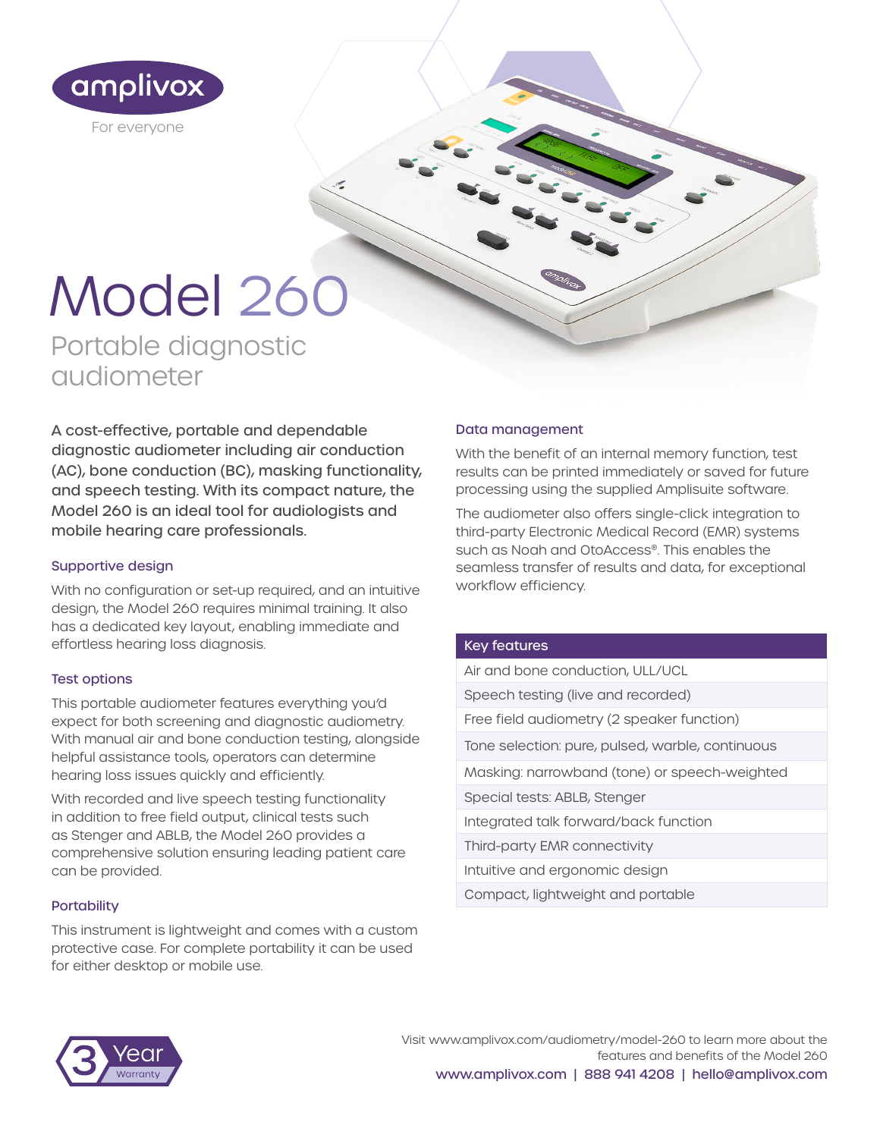

# Model 260

Portable diagnostic audiometer

A cost-effective, portable and dependable diagnostic audiometer including air conduction (AC), bone conduction (BC), masking functionality, and speech testing. With its compact nature, the Model 260 is an ideal tool for audiologists and mobile hearing care professionals.

# Supportive design

With no configuration or set-up required, and an intuitive design, the Model 260 requires minimal training. It also has a dedicated key layout, enabling immediate and effortless hearing loss diagnosis.

# Test options

This portable audiometer features everything you'd expect for both screening and diagnostic audiometry. With manual air and bone conduction testing, alongside helpful assistance tools, operators can determine hearing loss issues quickly and efficiently.

With recorded and live speech testing functionality in addition to free field output, clinical tests such as Stenger and ABLB, the Model 260 provides a comprehensive solution ensuring leading patient care can be provided.

#### **Portability**

This instrument is lightweight and comes with a custom protective case. For complete portability it can be used for either desktop or mobile use.

#### Data management

With the benefit of an internal memory function, test results can be printed immediately or saved for future processing using the supplied Amplisuite software.

The audiometer also offers single-click integration to third-party Electronic Medical Record (EMR) systems such as Noah and OtoAccess®. This enables the seamless transfer of results and data, for exceptional workflow efficiency.

#### Key features

- Air and bone conduction, ULL/UCL
- Speech testing (live and recorded)
- Free field audiometry (2 speaker function)
- Tone selection: pure, pulsed, warble, continuous
- Masking: narrowband (tone) or speech-weighted
- Special tests: ABLB, Stenger
- Integrated talk forward/back function
- Third-party EMR connectivity
- Intuitive and ergonomic design
- Compact, lightweight and portable



Visit www.amplivox.com/audiometry/model-260 to learn more about the features and benefits of the Model 260 www.amplivox.com | 888 941 4208 | hello@amplivox.com